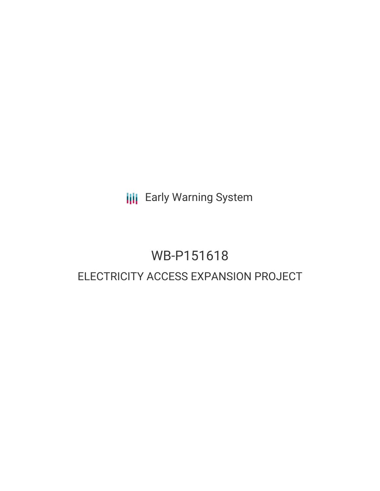**III** Early Warning System

# WB-P151618 ELECTRICITY ACCESS EXPANSION PROJECT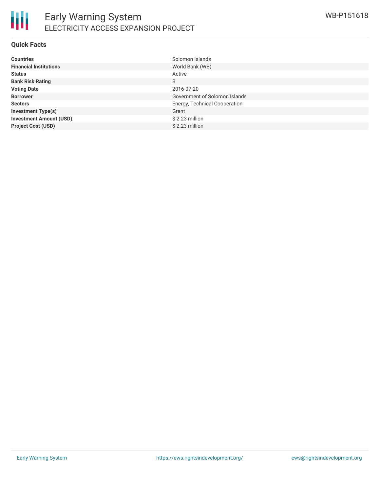

#### **Quick Facts**

| <b>Countries</b>               | Solomon Islands               |
|--------------------------------|-------------------------------|
| <b>Financial Institutions</b>  | World Bank (WB)               |
| <b>Status</b>                  | Active                        |
| <b>Bank Risk Rating</b>        | B                             |
| <b>Voting Date</b>             | 2016-07-20                    |
| <b>Borrower</b>                | Government of Solomon Islands |
| <b>Sectors</b>                 | Energy, Technical Cooperation |
| <b>Investment Type(s)</b>      | Grant                         |
| <b>Investment Amount (USD)</b> | \$2.23 million                |
| <b>Project Cost (USD)</b>      | $$2.23$ million               |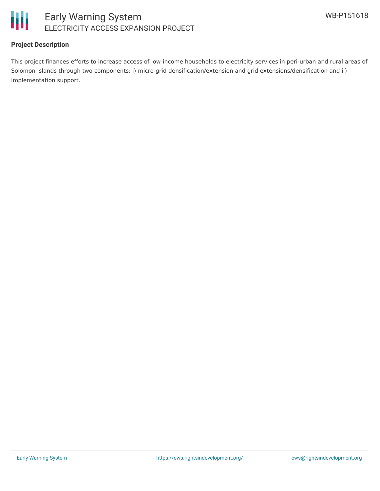

## **Project Description**

This project finances efforts to increase access of low-income households to electricity services in peri-urban and rural areas of Solomon Islands through two components: i) micro-grid densification/extension and grid extensions/densification and ii) implementation support.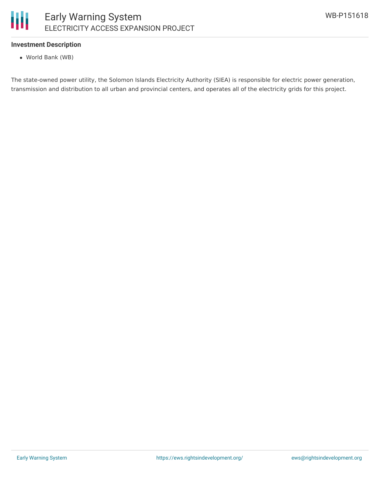#### Ш Early Warning System ELECTRICITY ACCESS EXPANSION PROJECT

#### **Investment Description**

World Bank (WB)

The state-owned power utility, the Solomon Islands Electricity Authority (SIEA) is responsible for electric power generation, transmission and distribution to all urban and provincial centers, and operates all of the electricity grids for this project.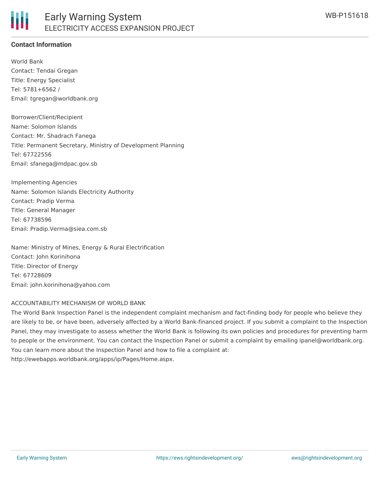## **Contact Information**

World Bank Contact: Tendai Gregan Title: Energy Specialist Tel: 5781+6562 / Email: tgregan@worldbank.org

Borrower/Client/Recipient Name: Solomon Islands Contact: Mr. Shadrach Fanega Title: Permanent Secretary, Ministry of Development Planning Tel: 67722556 Email: sfanega@mdpac.gov.sb

Implementing Agencies Name: Solomon Islands Electricity Authority Contact: Pradip Verma Title: General Manager Tel: 67738596 Email: Pradip.Verma@siea.com.sb

Name: Ministry of Mines, Energy & Rural Electrification Contact: John Korinihona Title: Director of Energy Tel: 67728609 Email: john.korinihona@yahoo.com

#### ACCOUNTABILITY MECHANISM OF WORLD BANK

The World Bank Inspection Panel is the independent complaint mechanism and fact-finding body for people who believe they are likely to be, or have been, adversely affected by a World Bank-financed project. If you submit a complaint to the Inspection Panel, they may investigate to assess whether the World Bank is following its own policies and procedures for preventing harm to people or the environment. You can contact the Inspection Panel or submit a complaint by emailing ipanel@worldbank.org. You can learn more about the Inspection Panel and how to file a complaint at: http://ewebapps.worldbank.org/apps/ip/Pages/Home.aspx.